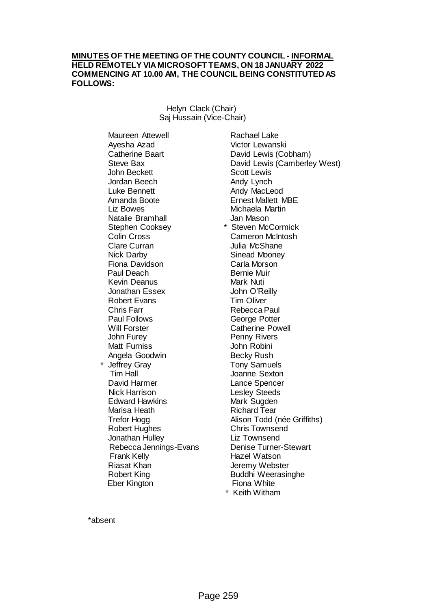### **MINUTES OF THE MEETING OF THE COUNTY COUNCIL - INFORMAL HELD REMOTELY VIA MICROSOFT TEAMS, ON 18 JANUARY 2022 COMMENCING AT 10.00 AM, THE COUNCIL BEING CONSTITUTED AS FOLLOWS:**

Helyn Clack (Chair) Saj Hussain (Vice-Chair)

Maureen Attewell Ayesha Azad Catherine Baart Steve Bax John Beckett Jordan Beech Luke Bennett Amanda Boote Liz Bowes Natalie Bramhall Stephen Cooksey Colin Cross Clare Curran Nick Darby Fiona Davidson Paul Deach Kevin Deanus Jonathan Essex Robert Evans Chris Farr Paul Follows Will Forster John Furey Matt Furniss Angela Goodwin Jeffrey Gray Tim Hall David Harmer Nick Harrison Edward Hawkins Marisa Heath Trefor Hogg Robert Hughes Jonathan Hulley Rebecca Jennings-Evans Frank Kelly Riasat Khan Robert King Eber Kington

Rachael Lake Victor Lewanski David Lewis (Cobham) David Lewis (Camberley West) Scott Lewis Andy Lynch Andy MacLeod Ernest Mallett MBE Michaela Martin Jan Mason \* Steven McCormick Cameron McIntosh Julia McShane Sinead Mooney Carla Morson Bernie Muir Mark Nuti John O'Reilly Tim Oliver Rebecca Paul George Potter Catherine Powell Penny Rivers John Robini Becky Rush Tony Samuels Joanne Sexton Lance Spencer Lesley Steeds Mark Sugden Richard Tear Alison Todd (née Griffiths) Chris Townsend Liz Townsend Denise Turner-Stewart Hazel Watson Jeremy Webster Buddhi Weerasinghe Fiona White \* Keith Witham

\*absent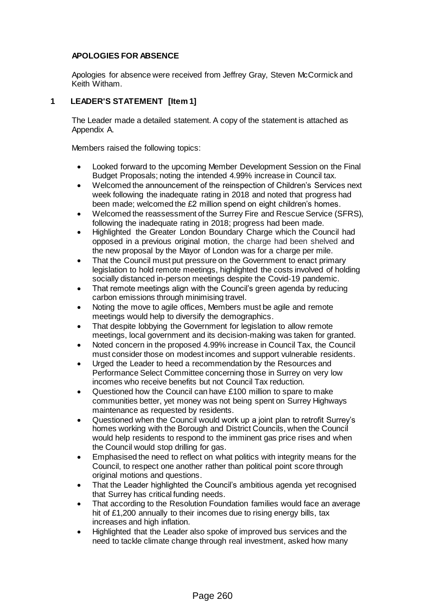# **APOLOGIES FOR ABSENCE**

Apologies for absence were received from Jeffrey Gray, Steven McCormick and Keith Witham.

# **1 LEADER'S STATEMENT [Item 1]**

The Leader made a detailed statement. A copy of the statement is attached as Appendix A.

Members raised the following topics:

- Looked forward to the upcoming Member Development Session on the Final Budget Proposals; noting the intended 4.99% increase in Council tax.
- Welcomed the announcement of the reinspection of Children's Services next week following the inadequate rating in 2018 and noted that progress had been made; welcomed the £2 million spend on eight children's homes.
- Welcomed the reassessment of the Surrey Fire and Rescue Service (SFRS), following the inadequate rating in 2018; progress had been made.
- Highlighted the Greater London Boundary Charge which the Council had opposed in a previous original motion, the charge had been shelved and the new proposal by the Mayor of London was for a charge per mile.
- That the Council must put pressure on the Government to enact primary legislation to hold remote meetings, highlighted the costs involved of holding socially distanced in-person meetings despite the Covid-19 pandemic.
- That remote meetings align with the Council's green agenda by reducing carbon emissions through minimising travel.
- Noting the move to agile offices, Members must be agile and remote meetings would help to diversify the demographics.
- That despite lobbying the Government for legislation to allow remote meetings, local government and its decision-making was taken for granted.
- Noted concern in the proposed 4.99% increase in Council Tax, the Council must consider those on modest incomes and support vulnerable residents.
- Urged the Leader to heed a recommendation by the Resources and Performance Select Committee concerning those in Surrey on very low incomes who receive benefits but not Council Tax reduction.
- Questioned how the Council can have £100 million to spare to make communities better, yet money was not being spent on Surrey Highways maintenance as requested by residents.
- Questioned when the Council would work up a joint plan to retrofit Surrey's homes working with the Borough and District Councils, when the Council would help residents to respond to the imminent gas price rises and when the Council would stop drilling for gas.
- Emphasised the need to reflect on what politics with integrity means for the Council, to respect one another rather than political point score through original motions and questions.
- That the Leader highlighted the Council's ambitious agenda yet recognised that Surrey has critical funding needs.
- That according to the Resolution Foundation families would face an average hit of £1,200 annually to their incomes due to rising energy bills, tax increases and high inflation.
- Highlighted that the Leader also spoke of improved bus services and the need to tackle climate change through real investment, asked how many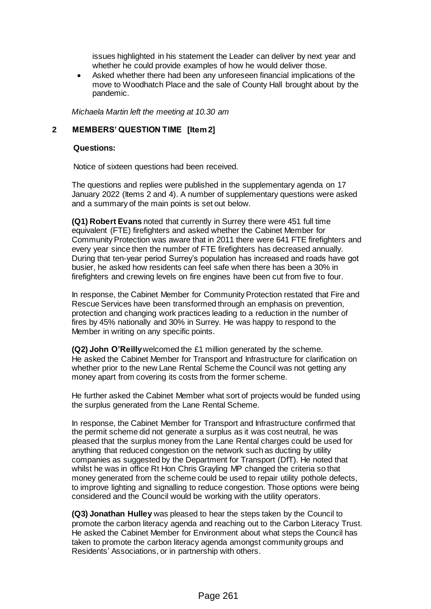issues highlighted in his statement the Leader can deliver by next year and whether he could provide examples of how he would deliver those.

 Asked whether there had been any unforeseen financial implications of the move to Woodhatch Place and the sale of County Hall brought about by the pandemic.

*Michaela Martin left the meeting at 10.30 am*

# **2 MEMBERS' QUESTION TIME [Item 2]**

#### **Questions:**

Notice of sixteen questions had been received.

The questions and replies were published in the supplementary agenda on 17 January 2022 (Items 2 and 4). A number of supplementary questions were asked and a summary of the main points is set out below.

**(Q1) Robert Evans** noted that currently in Surrey there were 451 full time equivalent (FTE) firefighters and asked whether the Cabinet Member for Community Protection was aware that in 2011 there were 641 FTE firefighters and every year since then the number of FTE firefighters has decreased annually. During that ten-year period Surrey's population has increased and roads have got busier, he asked how residents can feel safe when there has been a 30% in firefighters and crewing levels on fire engines have been cut from five to four.

In response, the Cabinet Member for Community Protection restated that Fire and Rescue Services have been transformed through an emphasis on prevention, protection and changing work practices leading to a reduction in the number of fires by 45% nationally and 30% in Surrey. He was happy to respond to the Member in writing on any specific points.

**(Q2) John O'Reilly** welcomed the £1 million generated by the scheme. He asked the Cabinet Member for Transport and Infrastructure for clarification on whether prior to the new Lane Rental Scheme the Council was not getting any money apart from covering its costs from the former scheme.

He further asked the Cabinet Member what sort of projects would be funded using the surplus generated from the Lane Rental Scheme.

In response, the Cabinet Member for Transport and Infrastructure confirmed that the permit scheme did not generate a surplus as it was cost neutral, he was pleased that the surplus money from the Lane Rental charges could be used for anything that reduced congestion on the network such as ducting by utility companies as suggested by the Department for Transport (DfT). He noted that whilst he was in office Rt Hon Chris Grayling MP changed the criteria so that money generated from the scheme could be used to repair utility pothole defects, to improve lighting and signalling to reduce congestion. Those options were being considered and the Council would be working with the utility operators.

**(Q3) Jonathan Hulley** was pleased to hear the steps taken by the Council to promote the carbon literacy agenda and reaching out to the Carbon Literacy Trust. He asked the Cabinet Member for Environment about what steps the Council has taken to promote the carbon literacy agenda amongst community groups and Residents' Associations, or in partnership with others.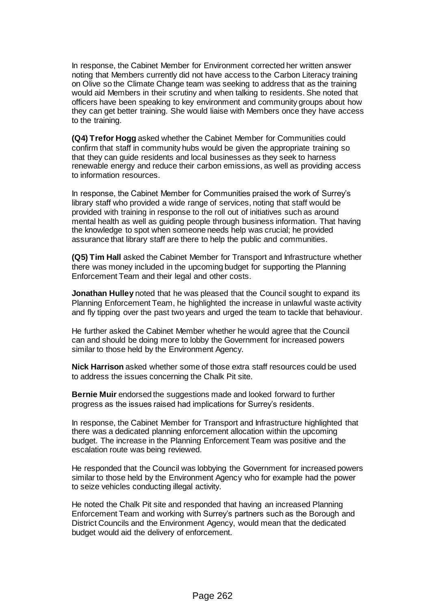In response, the Cabinet Member for Environment corrected her written answer noting that Members currently did not have access to the Carbon Literacy training on Olive so the Climate Change team was seeking to address that as the training would aid Members in their scrutiny and when talking to residents. She noted that officers have been speaking to key environment and community groups about how they can get better training. She would liaise with Members once they have access to the training.

**(Q4) Trefor Hogg** asked whether the Cabinet Member for Communities could confirm that staff in community hubs would be given the appropriate training so that they can guide residents and local businesses as they seek to harness renewable energy and reduce their carbon emissions, as well as providing access to information resources.

In response, the Cabinet Member for Communities praised the work of Surrey's library staff who provided a wide range of services, noting that staff would be provided with training in response to the roll out of initiatives such as around mental health as well as guiding people through business information. That having the knowledge to spot when someone needs help was crucial; he provided assurance that library staff are there to help the public and communities.

**(Q5) Tim Hall** asked the Cabinet Member for Transport and Infrastructure whether there was money included in the upcoming budget for supporting the Planning Enforcement Team and their legal and other costs.

**Jonathan Hulley** noted that he was pleased that the Council sought to expand its Planning Enforcement Team, he highlighted the increase in unlawful waste activity and fly tipping over the past two years and urged the team to tackle that behaviour.

He further asked the Cabinet Member whether he would agree that the Council can and should be doing more to lobby the Government for increased powers similar to those held by the Environment Agency.

**Nick Harrison** asked whether some of those extra staff resources could be used to address the issues concerning the Chalk Pit site.

**Bernie Muir** endorsed the suggestions made and looked forward to further progress as the issues raised had implications for Surrey's residents.

In response, the Cabinet Member for Transport and Infrastructure highlighted that there was a dedicated planning enforcement allocation within the upcoming budget. The increase in the Planning Enforcement Team was positive and the escalation route was being reviewed.

He responded that the Council was lobbying the Government for increased powers similar to those held by the Environment Agency who for example had the power to seize vehicles conducting illegal activity.

He noted the Chalk Pit site and responded that having an increased Planning Enforcement Team and working with Surrey's partners such as the Borough and District Councils and the Environment Agency, would mean that the dedicated budget would aid the delivery of enforcement.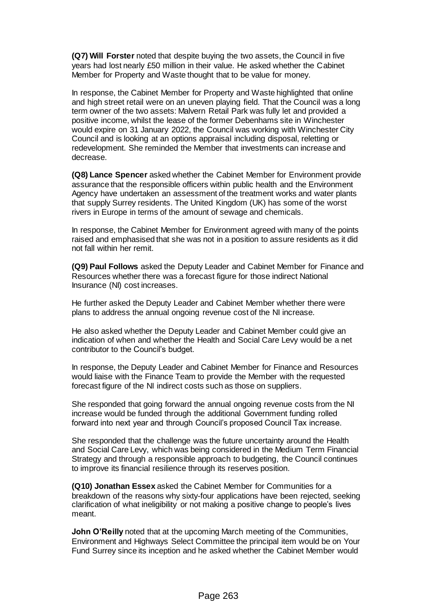**(Q7) Will Forster** noted that despite buying the two assets, the Council in five years had lost nearly £50 million in their value. He asked whether the Cabinet Member for Property and Waste thought that to be value for money.

In response, the Cabinet Member for Property and Waste highlighted that online and high street retail were on an uneven playing field. That the Council was a long term owner of the two assets: Malvern Retail Park was fully let and provided a positive income, whilst the lease of the former Debenhams site in Winchester would expire on 31 January 2022, the Council was working with Winchester City Council and is looking at an options appraisal including disposal, reletting or redevelopment. She reminded the Member that investments can increase and decrease.

**(Q8) Lance Spencer** asked whether the Cabinet Member for Environment provide assurance that the responsible officers within public health and the Environment Agency have undertaken an assessment of the treatment works and water plants that supply Surrey residents. The United Kingdom (UK) has some of the worst rivers in Europe in terms of the amount of sewage and chemicals.

In response, the Cabinet Member for Environment agreed with many of the points raised and emphasised that she was not in a position to assure residents as it did not fall within her remit.

**(Q9) Paul Follows** asked the Deputy Leader and Cabinet Member for Finance and Resources whether there was a forecast figure for those indirect National Insurance (NI) cost increases.

He further asked the Deputy Leader and Cabinet Member whether there were plans to address the annual ongoing revenue cost of the NI increase.

He also asked whether the Deputy Leader and Cabinet Member could give an indication of when and whether the Health and Social Care Levy would be a net contributor to the Council's budget.

In response, the Deputy Leader and Cabinet Member for Finance and Resources would liaise with the Finance Team to provide the Member with the requested forecast figure of the NI indirect costs such as those on suppliers.

She responded that going forward the annual ongoing revenue costs from the NI increase would be funded through the additional Government funding rolled forward into next year and through Council's proposed Council Tax increase.

She responded that the challenge was the future uncertainty around the Health and Social Care Levy, which was being considered in the Medium Term Financial Strategy and through a responsible approach to budgeting, the Council continues to improve its financial resilience through its reserves position.

**(Q10) Jonathan Essex** asked the Cabinet Member for Communities for a breakdown of the reasons why sixty-four applications have been rejected, seeking clarification of what ineligibility or not making a positive change to people's lives meant.

**John O'Reilly** noted that at the upcoming March meeting of the Communities, Environment and Highways Select Committee the principal item would be on Your Fund Surrey since its inception and he asked whether the Cabinet Member would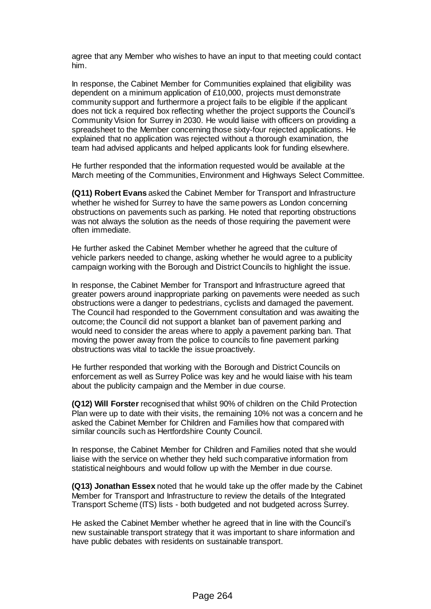agree that any Member who wishes to have an input to that meeting could contact him.

In response, the Cabinet Member for Communities explained that eligibility was dependent on a minimum application of £10,000, projects must demonstrate community support and furthermore a project fails to be eligible if the applicant does not tick a required box reflecting whether the project supports the Council's Community Vision for Surrey in 2030. He would liaise with officers on providing a spreadsheet to the Member concerning those sixty-four rejected applications. He explained that no application was rejected without a thorough examination, the team had advised applicants and helped applicants look for funding elsewhere.

He further responded that the information requested would be available at the March meeting of the Communities, Environment and Highways Select Committee.

**(Q11) Robert Evans** asked the Cabinet Member for Transport and Infrastructure whether he wished for Surrey to have the same powers as London concerning obstructions on pavements such as parking. He noted that reporting obstructions was not always the solution as the needs of those requiring the pavement were often immediate.

He further asked the Cabinet Member whether he agreed that the culture of vehicle parkers needed to change, asking whether he would agree to a publicity campaign working with the Borough and District Councils to highlight the issue.

In response, the Cabinet Member for Transport and Infrastructure agreed that greater powers around inappropriate parking on pavements were needed as such obstructions were a danger to pedestrians, cyclists and damaged the pavement. The Council had responded to the Government consultation and was awaiting the outcome; the Council did not support a blanket ban of pavement parking and would need to consider the areas where to apply a pavement parking ban. That moving the power away from the police to councils to fine pavement parking obstructions was vital to tackle the issue proactively.

He further responded that working with the Borough and District Councils on enforcement as well as Surrey Police was key and he would liaise with his team about the publicity campaign and the Member in due course.

**(Q12) Will Forster** recognised that whilst 90% of children on the Child Protection Plan were up to date with their visits, the remaining 10% not was a concern and he asked the Cabinet Member for Children and Families how that compared with similar councils such as Hertfordshire County Council.

In response, the Cabinet Member for Children and Families noted that she would liaise with the service on whether they held such comparative information from statistical neighbours and would follow up with the Member in due course.

**(Q13) Jonathan Essex** noted that he would take up the offer made by the Cabinet Member for Transport and Infrastructure to review the details of the Integrated Transport Scheme (ITS) lists - both budgeted and not budgeted across Surrey.

He asked the Cabinet Member whether he agreed that in line with the Council's new sustainable transport strategy that it was important to share information and have public debates with residents on sustainable transport.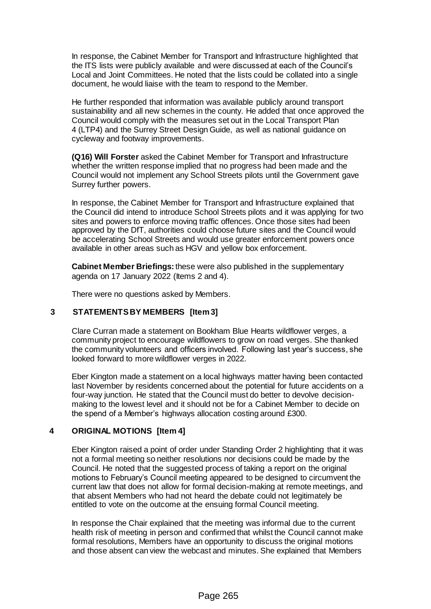In response, the Cabinet Member for Transport and Infrastructure highlighted that the ITS lists were publicly available and were discussed at each of the Council's Local and Joint Committees. He noted that the lists could be collated into a single document, he would liaise with the team to respond to the Member.

He further responded that information was available publicly around transport sustainability and all new schemes in the county. He added that once approved the Council would comply with the measures set out in the Local Transport Plan 4 (LTP4) and the Surrey Street Design Guide, as well as national guidance on cycleway and footway improvements.

**(Q16) Will Forster** asked the Cabinet Member for Transport and Infrastructure whether the written response implied that no progress had been made and the Council would not implement any School Streets pilots until the Government gave Surrey further powers.

In response, the Cabinet Member for Transport and Infrastructure explained that the Council did intend to introduce School Streets pilots and it was applying for two sites and powers to enforce moving traffic offences. Once those sites had been approved by the DfT, authorities could choose future sites and the Council would be accelerating School Streets and would use greater enforcement powers once available in other areas such as HGV and yellow box enforcement.

**Cabinet Member Briefings:**these were also published in the supplementary agenda on 17 January 2022 (Items 2 and 4).

There were no questions asked by Members.

# **3 STATEMENTS BY MEMBERS [Item 3]**

Clare Curran made a statement on Bookham Blue Hearts wildflower verges, a community project to encourage wildflowers to grow on road verges. She thanked the community volunteers and officers involved. Following last year's success, she looked forward to more wildflower verges in 2022.

Eber Kington made a statement on a local highways matter having been contacted last November by residents concerned about the potential for future accidents on a four-way junction. He stated that the Council must do better to devolve decisionmaking to the lowest level and it should not be for a Cabinet Member to decide on the spend of a Member's highways allocation costing around £300.

## **4 ORIGINAL MOTIONS [Item 4]**

Eber Kington raised a point of order under Standing Order 2 highlighting that it was not a formal meeting so neither resolutions nor decisions could be made by the Council. He noted that the suggested process of taking a report on the original motions to February's Council meeting appeared to be designed to circumvent the current law that does not allow for formal decision-making at remote meetings, and that absent Members who had not heard the debate could not legitimately be entitled to vote on the outcome at the ensuing formal Council meeting.

In response the Chair explained that the meeting was informal due to the current health risk of meeting in person and confirmed that whilst the Council cannot make formal resolutions, Members have an opportunity to discuss the original motions and those absent can view the webcast and minutes. She explained that Members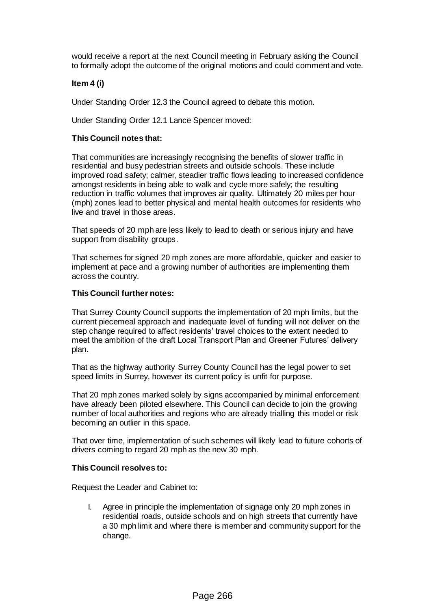would receive a report at the next Council meeting in February asking the Council to formally adopt the outcome of the original motions and could comment and vote.

## **Item 4 (i)**

Under Standing Order 12.3 the Council agreed to debate this motion.

Under Standing Order 12.1 Lance Spencer moved:

## **This Council notes that:**

That communities are increasingly recognising the benefits of slower traffic in residential and busy pedestrian streets and outside schools. These include improved road safety; calmer, steadier traffic flows leading to increased confidence amongst residents in being able to walk and cycle more safely; the resulting reduction in traffic volumes that improves air quality. Ultimately 20 miles per hour (mph) zones lead to better physical and mental health outcomes for residents who live and travel in those areas.

That speeds of 20 mph are less likely to lead to death or serious injury and have support from disability groups.

That schemes for signed 20 mph zones are more affordable, quicker and easier to implement at pace and a growing number of authorities are implementing them across the country.

#### **This Council further notes:**

That Surrey County Council supports the implementation of 20 mph limits, but the current piecemeal approach and inadequate level of funding will not deliver on the step change required to affect residents' travel choices to the extent needed to meet the ambition of the draft Local Transport Plan and Greener Futures' delivery plan.

That as the highway authority Surrey County Council has the legal power to set speed limits in Surrey, however its current policy is unfit for purpose.

That 20 mph zones marked solely by signs accompanied by minimal enforcement have already been piloted elsewhere. This Council can decide to join the growing number of local authorities and regions who are already trialling this model or risk becoming an outlier in this space.

That over time, implementation of such schemes will likely lead to future cohorts of drivers coming to regard 20 mph as the new 30 mph.

#### **This Council resolves to:**

Request the Leader and Cabinet to:

I. Agree in principle the implementation of signage only 20 mph zones in residential roads, outside schools and on high streets that currently have a 30 mph limit and where there is member and community support for the change.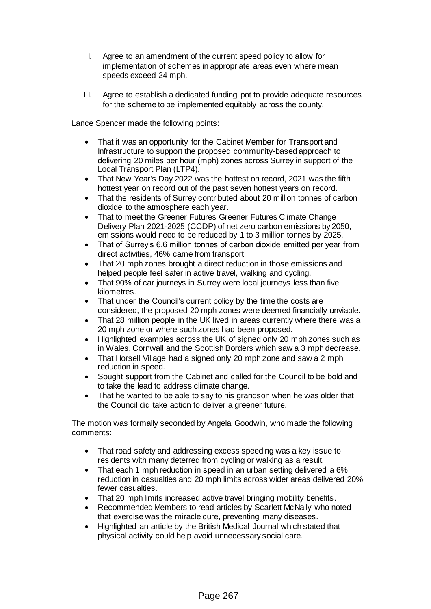- II. Agree to an amendment of the current speed policy to allow for implementation of schemes in appropriate areas even where mean speeds exceed 24 mph.
- III. Agree to establish a dedicated funding pot to provide adequate resources for the scheme to be implemented equitably across the county.

Lance Spencer made the following points:

- That it was an opportunity for the Cabinet Member for Transport and Infrastructure to support the proposed community-based approach to delivering 20 miles per hour (mph) zones across Surrey in support of the Local Transport Plan (LTP4).
- That New Year's Day 2022 was the hottest on record, 2021 was the fifth hottest year on record out of the past seven hottest years on record.
- That the residents of Surrey contributed about 20 million tonnes of carbon dioxide to the atmosphere each year.
- That to meet the Greener Futures Greener Futures Climate Change Delivery Plan 2021-2025 (CCDP) of net zero carbon emissions by 2050, emissions would need to be reduced by 1 to 3 million tonnes by 2025.
- That of Surrey's 6.6 million tonnes of carbon dioxide emitted per year from direct activities, 46% came from transport.
- That 20 mph zones brought a direct reduction in those emissions and helped people feel safer in active travel, walking and cycling.
- That 90% of car journeys in Surrey were local journeys less than five kilometres.
- That under the Council's current policy by the time the costs are considered, the proposed 20 mph zones were deemed financially unviable.
- That 28 million people in the UK lived in areas currently where there was a 20 mph zone or where such zones had been proposed.
- Highlighted examples across the UK of signed only 20 mph zones such as in Wales, Cornwall and the Scottish Borders which saw a 3 mph decrease.
- That Horsell Village had a signed only 20 mph zone and saw a 2 mph reduction in speed.
- Sought support from the Cabinet and called for the Council to be bold and to take the lead to address climate change.
- That he wanted to be able to say to his grandson when he was older that the Council did take action to deliver a greener future.

The motion was formally seconded by Angela Goodwin, who made the following comments:

- That road safety and addressing excess speeding was a key issue to residents with many deterred from cycling or walking as a result.
- That each 1 mph reduction in speed in an urban setting delivered a 6% reduction in casualties and 20 mph limits across wider areas delivered 20% fewer casualties.
- That 20 mph limits increased active travel bringing mobility benefits.
- Recommended Members to read articles by Scarlett McNally who noted that exercise was the miracle cure, preventing many diseases.
- Highlighted an article by the British Medical Journal which stated that physical activity could help avoid unnecessary social care.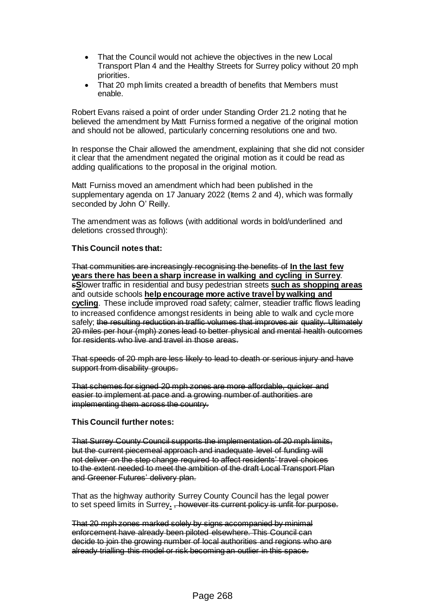- That the Council would not achieve the objectives in the new Local Transport Plan 4 and the Healthy Streets for Surrey policy without 20 mph priorities.
- That 20 mph limits created a breadth of benefits that Members must enable.

Robert Evans raised a point of order under Standing Order 21.2 noting that he believed the amendment by Matt Furniss formed a negative of the original motion and should not be allowed, particularly concerning resolutions one and two.

In response the Chair allowed the amendment, explaining that she did not consider it clear that the amendment negated the original motion as it could be read as adding qualifications to the proposal in the original motion.

Matt Furniss moved an amendment which had been published in the supplementary agenda on 17 January 2022 (Items 2 and 4), which was formally seconded by John O' Reilly.

The amendment was as follows (with additional words in bold/underlined and deletions crossed through):

## **This Council notes that:**

That communities are increasingly recognising the benefits of **In the last few years there has been a sharp increase in walking and cycling in Surrey**. s**S**lower traffic in residential and busy pedestrian streets **such as shopping areas** and outside schools **help encourage more active travel by walking and cycling**. These include improved road safety; calmer, steadier traffic flows leading to increased confidence amongst residents in being able to walk and cycle more safely; the resulting reduction in traffic volumes that improves air quality. Ultimately 20 miles per hour (mph) zones lead to better physical and mental health outcomes for residents who live and travel in those areas.

That speeds of 20 mph are less likely to lead to death or serious injury and have support from disability groups.

That schemes for signed 20 mph zones are more affordable, quicker and easier to implement at pace and a growing number of authorities are implementing them across the country.

#### **This Council further notes:**

That Surrey County Council supports the implementation of 20 mph limits, but the current piecemeal approach and inadequate level of funding will not deliver on the step change required to affect residents' travel choices to the extent needed to meet the ambition of the draft Local Transport Plan and Greener Futures' delivery plan.

That as the highway authority Surrey County Council has the legal power to set speed limits in Surrey**.** , however its current policy is unfit for purpose.

That 20 mph zones marked solely by signs accompanied by minimal enforcement have already been piloted elsewhere. This Council can decide to join the growing number of local authorities and regions who are already trialling this model or risk becoming an outlier in this space.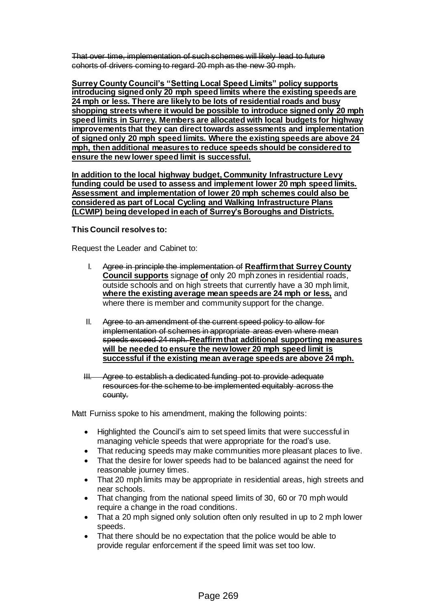That over time, implementation of such schemes will likely lead to future cohorts of drivers coming to regard 20 mph as the new 30 mph.

**Surrey County Council's "Setting Local Speed Limits" policy supports introducing signed only 20 mph speed limits where the existing speeds are 24 mph or less. There are likely to be lots of residential roads and busy shopping streets where it would be possible to introduce signed only 20 mph speed limits in Surrey. Members are allocated with local budgets for highway improvements that they can direct towards assessments and implementation of signed only 20 mph speed limits. Where the existing speeds are above 24 mph, then additional measures to reduce speeds should be considered to ensure the new lower speed limit is successful.** 

**In addition to the local highway budget, Community Infrastructure Levy funding could be used to assess and implement lower 20 mph speed limits. Assessment and implementation of lower 20 mph schemes could also be considered as part of Local Cycling and Walking Infrastructure Plans (LCWIP) being developed in each of Surrey's Boroughs and Districts.** 

#### **This Council resolves to:**

Request the Leader and Cabinet to:

- I. Agree in principle the implementation of **Reaffirm that Surrey County Council supports** signage **of** only 20 mph zones in residential roads, outside schools and on high streets that currently have a 30 mph limit, **where the existing average mean speeds are 24 mph or less,** and where there is member and community support for the change.
- II. Agree to an amendment of the current speed policy to allow for implementation of schemes in appropriate areas even where mean speeds exceed 24 mph. **Reaffirm that additional supporting measures will be needed to ensure the new lower 20 mph speed limit is successful if the existing mean average speeds are above 24 mph.**

III. Agree to establish a dedicated funding pot to provide adequate resources for the scheme to be implemented equitably across the county.

Matt Furniss spoke to his amendment, making the following points:

- Highlighted the Council's aim to set speed limits that were successful in managing vehicle speeds that were appropriate for the road's use.
- That reducing speeds may make communities more pleasant places to live.
- That the desire for lower speeds had to be balanced against the need for reasonable journey times.
- That 20 mph limits may be appropriate in residential areas, high streets and near schools.
- That changing from the national speed limits of 30, 60 or 70 mph would require a change in the road conditions.
- That a 20 mph signed only solution often only resulted in up to 2 mph lower speeds.
- That there should be no expectation that the police would be able to provide regular enforcement if the speed limit was set too low.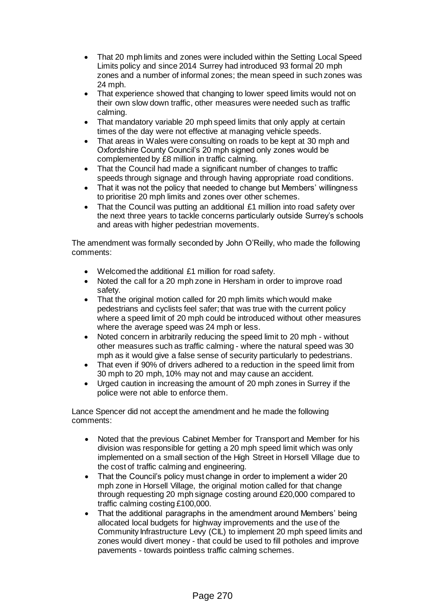- That 20 mph limits and zones were included within the Setting Local Speed Limits policy and since 2014 Surrey had introduced 93 formal 20 mph zones and a number of informal zones; the mean speed in such zones was 24 mph.
- That experience showed that changing to lower speed limits would not on their own slow down traffic, other measures were needed such as traffic calming.
- That mandatory variable 20 mph speed limits that only apply at certain times of the day were not effective at managing vehicle speeds.
- That areas in Wales were consulting on roads to be kept at 30 mph and Oxfordshire County Council's 20 mph signed only zones would be complemented by £8 million in traffic calming.
- That the Council had made a significant number of changes to traffic speeds through signage and through having appropriate road conditions.
- That it was not the policy that needed to change but Members' willingness to prioritise 20 mph limits and zones over other schemes.
- That the Council was putting an additional £1 million into road safety over the next three years to tackle concerns particularly outside Surrey's schools and areas with higher pedestrian movements.

The amendment was formally seconded by John O'Reilly, who made the following comments:

- Welcomed the additional £1 million for road safety.
- Noted the call for a 20 mph zone in Hersham in order to improve road safety.
- That the original motion called for 20 mph limits which would make pedestrians and cyclists feel safer; that was true with the current policy where a speed limit of 20 mph could be introduced without other measures where the average speed was 24 mph or less.
- Noted concern in arbitrarily reducing the speed limit to 20 mph without other measures such as traffic calming - where the natural speed was 30 mph as it would give a false sense of security particularly to pedestrians.
- That even if 90% of drivers adhered to a reduction in the speed limit from 30 mph to 20 mph, 10% may not and may cause an accident.
- Urged caution in increasing the amount of 20 mph zones in Surrey if the police were not able to enforce them.

Lance Spencer did not accept the amendment and he made the following comments:

- Noted that the previous Cabinet Member for Transport and Member for his division was responsible for getting a 20 mph speed limit which was only implemented on a small section of the High Street in Horsell Village due to the cost of traffic calming and engineering.
- That the Council's policy must change in order to implement a wider 20 mph zone in Horsell Village, the original motion called for that change through requesting 20 mph signage costing around £20,000 compared to traffic calming costing £100,000.
- That the additional paragraphs in the amendment around Members' being allocated local budgets for highway improvements and the use of the Community Infrastructure Levy (CIL) to implement 20 mph speed limits and zones would divert money - that could be used to fill potholes and improve pavements - towards pointless traffic calming schemes.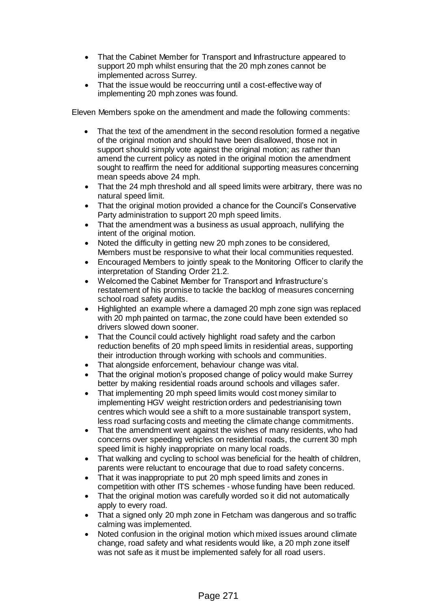- That the Cabinet Member for Transport and Infrastructure appeared to support 20 mph whilst ensuring that the 20 mph zones cannot be implemented across Surrey.
- That the issue would be reoccurring until a cost-effective way of implementing 20 mph zones was found.

Eleven Members spoke on the amendment and made the following comments:

- That the text of the amendment in the second resolution formed a negative of the original motion and should have been disallowed, those not in support should simply vote against the original motion; as rather than amend the current policy as noted in the original motion the amendment sought to reaffirm the need for additional supporting measures concerning mean speeds above 24 mph.
- That the 24 mph threshold and all speed limits were arbitrary, there was no natural speed limit.
- That the original motion provided a chance for the Council's Conservative Party administration to support 20 mph speed limits.
- That the amendment was a business as usual approach, nullifying the intent of the original motion.
- Noted the difficulty in getting new 20 mph zones to be considered, Members must be responsive to what their local communities requested.
- Encouraged Members to jointly speak to the Monitoring Officer to clarify the interpretation of Standing Order 21.2.
- Welcomed the Cabinet Member for Transport and Infrastructure's restatement of his promise to tackle the backlog of measures concerning school road safety audits.
- Highlighted an example where a damaged 20 mph zone sign was replaced with 20 mph painted on tarmac, the zone could have been extended so drivers slowed down sooner.
- That the Council could actively highlight road safety and the carbon reduction benefits of 20 mph speed limits in residential areas, supporting their introduction through working with schools and communities.
- That alongside enforcement, behaviour change was vital.
- That the original motion's proposed change of policy would make Surrey better by making residential roads around schools and villages safer.
- That implementing 20 mph speed limits would cost money similar to implementing HGV weight restriction orders and pedestrianising town centres which would see a shift to a more sustainable transport system, less road surfacing costs and meeting the climate change commitments.
- That the amendment went against the wishes of many residents, who had concerns over speeding vehicles on residential roads, the current 30 mph speed limit is highly inappropriate on many local roads.
- That walking and cycling to school was beneficial for the health of children, parents were reluctant to encourage that due to road safety concerns.
- That it was inappropriate to put 20 mph speed limits and zones in competition with other ITS schemes - whose funding have been reduced.
- That the original motion was carefully worded so it did not automatically apply to every road.
- That a signed only 20 mph zone in Fetcham was dangerous and so traffic calming was implemented.
- Noted confusion in the original motion which mixed issues around climate change, road safety and what residents would like, a 20 mph zone itself was not safe as it must be implemented safely for all road users.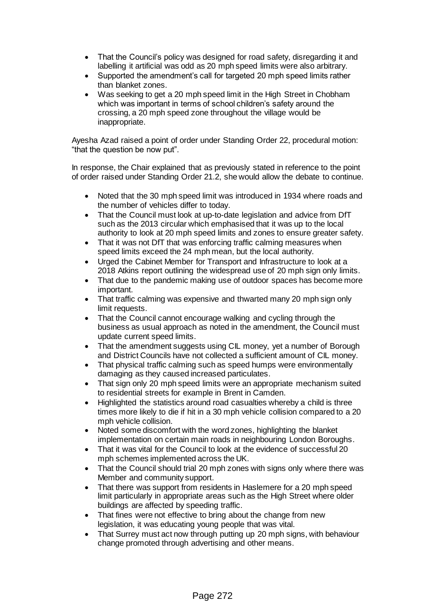- That the Council's policy was designed for road safety, disregarding it and labelling it artificial was odd as 20 mph speed limits were also arbitrary.
- Supported the amendment's call for targeted 20 mph speed limits rather than blanket zones.
- Was seeking to get a 20 mph speed limit in the High Street in Chobham which was important in terms of school children's safety around the crossing, a 20 mph speed zone throughout the village would be inappropriate.

Ayesha Azad raised a point of order under Standing Order 22, procedural motion: "that the question be now put".

In response, the Chair explained that as previously stated in reference to the point of order raised under Standing Order 21.2, she would allow the debate to continue.

- Noted that the 30 mph speed limit was introduced in 1934 where roads and the number of vehicles differ to today.
- That the Council must look at up-to-date legislation and advice from DfT such as the 2013 circular which emphasised that it was up to the local authority to look at 20 mph speed limits and zones to ensure greater safety.
- That it was not DfT that was enforcing traffic calming measures when speed limits exceed the 24 mph mean, but the local authority.
- Urged the Cabinet Member for Transport and Infrastructure to look at a 2018 Atkins report outlining the widespread use of 20 mph sign only limits.
- That due to the pandemic making use of outdoor spaces has become more important.
- That traffic calming was expensive and thwarted many 20 mph sign only limit requests.
- That the Council cannot encourage walking and cycling through the business as usual approach as noted in the amendment, the Council must update current speed limits.
- That the amendment suggests using CIL money, yet a number of Borough and District Councils have not collected a sufficient amount of CIL money.
- That physical traffic calming such as speed humps were environmentally damaging as they caused increased particulates.
- That sign only 20 mph speed limits were an appropriate mechanism suited to residential streets for example in Brent in Camden.
- Highlighted the statistics around road casualties whereby a child is three times more likely to die if hit in a 30 mph vehicle collision compared to a 20 mph vehicle collision.
- Noted some discomfort with the word zones, highlighting the blanket implementation on certain main roads in neighbouring London Boroughs.
- That it was vital for the Council to look at the evidence of successful 20 mph schemes implemented across the UK.
- That the Council should trial 20 mph zones with signs only where there was Member and community support.
- That there was support from residents in Haslemere for a 20 mph speed limit particularly in appropriate areas such as the High Street where older buildings are affected by speeding traffic.
- That fines were not effective to bring about the change from new legislation, it was educating young people that was vital.
- That Surrey must act now through putting up 20 mph signs, with behaviour change promoted through advertising and other means.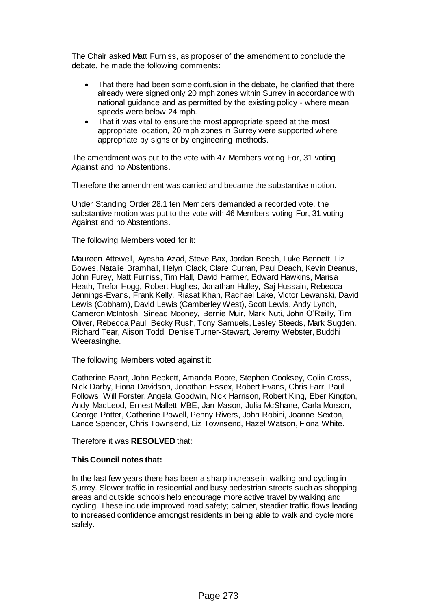The Chair asked Matt Furniss, as proposer of the amendment to conclude the debate, he made the following comments:

- That there had been some confusion in the debate, he clarified that there already were signed only 20 mph zones within Surrey in accordance with national guidance and as permitted by the existing policy - where mean speeds were below 24 mph.
- That it was vital to ensure the most appropriate speed at the most appropriate location, 20 mph zones in Surrey were supported where appropriate by signs or by engineering methods.

The amendment was put to the vote with 47 Members voting For, 31 voting Against and no Abstentions.

Therefore the amendment was carried and became the substantive motion.

Under Standing Order 28.1 ten Members demanded a recorded vote, the substantive motion was put to the vote with 46 Members voting For, 31 voting Against and no Abstentions.

The following Members voted for it:

Maureen Attewell, Ayesha Azad, Steve Bax, Jordan Beech, Luke Bennett, Liz Bowes, Natalie Bramhall, Helyn Clack, Clare Curran, Paul Deach, Kevin Deanus, John Furey, Matt Furniss, Tim Hall, David Harmer, Edward Hawkins, Marisa Heath, Trefor Hogg, Robert Hughes, Jonathan Hulley, Saj Hussain, Rebecca Jennings-Evans, Frank Kelly, Riasat Khan, Rachael Lake, Victor Lewanski, David Lewis (Cobham), David Lewis (Camberley West), Scott Lewis, Andy Lynch, Cameron McIntosh, Sinead Mooney, Bernie Muir, Mark Nuti, John O'Reilly, Tim Oliver, Rebecca Paul, Becky Rush, Tony Samuels, Lesley Steeds, Mark Sugden, Richard Tear, Alison Todd, Denise Turner-Stewart, Jeremy Webster, Buddhi Weerasinghe.

The following Members voted against it:

Catherine Baart, John Beckett, Amanda Boote, Stephen Cooksey, Colin Cross, Nick Darby, Fiona Davidson, Jonathan Essex, Robert Evans, Chris Farr, Paul Follows, Will Forster, Angela Goodwin, Nick Harrison, Robert King, Eber Kington, Andy MacLeod, Ernest Mallett MBE, Jan Mason, Julia McShane, Carla Morson, George Potter, Catherine Powell, Penny Rivers, John Robini, Joanne Sexton, Lance Spencer, Chris Townsend, Liz Townsend, Hazel Watson, Fiona White.

Therefore it was **RESOLVED** that:

## **This Council notes that:**

In the last few years there has been a sharp increase in walking and cycling in Surrey. Slower traffic in residential and busy pedestrian streets such as shopping areas and outside schools help encourage more active travel by walking and cycling. These include improved road safety; calmer, steadier traffic flows leading to increased confidence amongst residents in being able to walk and cycle more safely.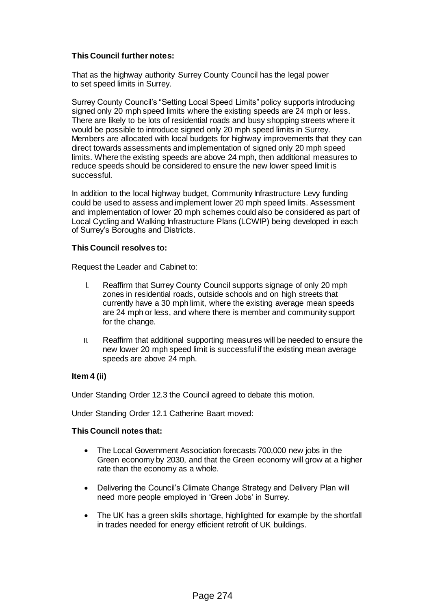## **This Council further notes:**

That as the highway authority Surrey County Council has the legal power to set speed limits in Surrey.

Surrey County Council's "Setting Local Speed Limits" policy supports introducing signed only 20 mph speed limits where the existing speeds are 24 mph or less. There are likely to be lots of residential roads and busy shopping streets where it would be possible to introduce signed only 20 mph speed limits in Surrey. Members are allocated with local budgets for highway improvements that they can direct towards assessments and implementation of signed only 20 mph speed limits. Where the existing speeds are above 24 mph, then additional measures to reduce speeds should be considered to ensure the new lower speed limit is successful.

In addition to the local highway budget, Community Infrastructure Levy funding could be used to assess and implement lower 20 mph speed limits. Assessment and implementation of lower 20 mph schemes could also be considered as part of Local Cycling and Walking Infrastructure Plans (LCWIP) being developed in each of Surrey's Boroughs and Districts.

## **This Council resolves to:**

Request the Leader and Cabinet to:

- I. Reaffirm that Surrey County Council supports signage of only 20 mph zones in residential roads, outside schools and on high streets that currently have a 30 mph limit, where the existing average mean speeds are 24 mph or less, and where there is member and community support for the change.
- II. Reaffirm that additional supporting measures will be needed to ensure the new lower 20 mph speed limit is successful if the existing mean average speeds are above 24 mph.

## **Item 4 (ii)**

Under Standing Order 12.3 the Council agreed to debate this motion.

Under Standing Order 12.1 Catherine Baart moved:

#### **This Council notes that:**

- The Local Government Association forecasts 700,000 new jobs in the Green economy by 2030, and that the Green economy will grow at a higher rate than the economy as a whole.
- Delivering the Council's Climate Change Strategy and Delivery Plan will need more people employed in 'Green Jobs' in Surrey.
- The UK has a green skills shortage, highlighted for example by the shortfall in trades needed for energy efficient retrofit of UK buildings.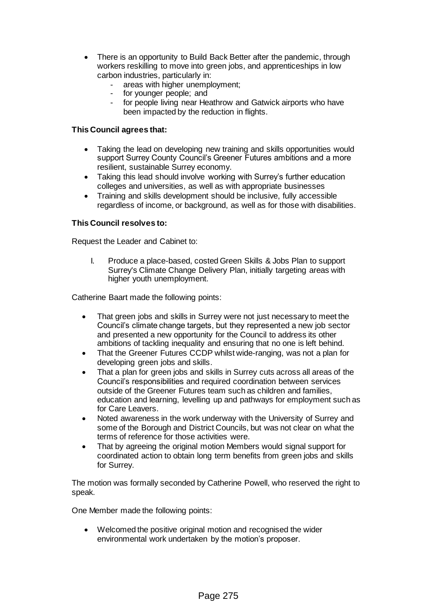- There is an opportunity to Build Back Better after the pandemic, through workers reskilling to move into green jobs, and apprenticeships in low carbon industries, particularly in:
	- areas with higher unemployment;
	- for younger people; and
	- for people living near Heathrow and Gatwick airports who have been impacted by the reduction in flights.

## **This Council agrees that:**

- Taking the lead on developing new training and skills opportunities would support Surrey County Council's Greener Futures ambitions and a more resilient, sustainable Surrey economy.
- Taking this lead should involve working with Surrey's further education colleges and universities, as well as with appropriate businesses
- Training and skills development should be inclusive, fully accessible regardless of income, or background, as well as for those with disabilities.

## **This Council resolves to:**

Request the Leader and Cabinet to:

I. Produce a place-based, costed Green Skills & Jobs Plan to support Surrey's Climate Change Delivery Plan, initially targeting areas with higher youth unemployment.

Catherine Baart made the following points:

- That green jobs and skills in Surrey were not just necessary to meet the Council's climate change targets, but they represented a new job sector and presented a new opportunity for the Council to address its other ambitions of tackling inequality and ensuring that no one is left behind.
- That the Greener Futures CCDP whilst wide-ranging, was not a plan for developing green jobs and skills.
- That a plan for green jobs and skills in Surrey cuts across all areas of the Council's responsibilities and required coordination between services outside of the Greener Futures team such as children and families, education and learning, levelling up and pathways for employment such as for Care Leavers.
- Noted awareness in the work underway with the University of Surrey and some of the Borough and District Councils, but was not clear on what the terms of reference for those activities were.
- That by agreeing the original motion Members would signal support for coordinated action to obtain long term benefits from green jobs and skills for Surrey.

The motion was formally seconded by Catherine Powell, who reserved the right to speak.

One Member made the following points:

 Welcomed the positive original motion and recognised the wider environmental work undertaken by the motion's proposer.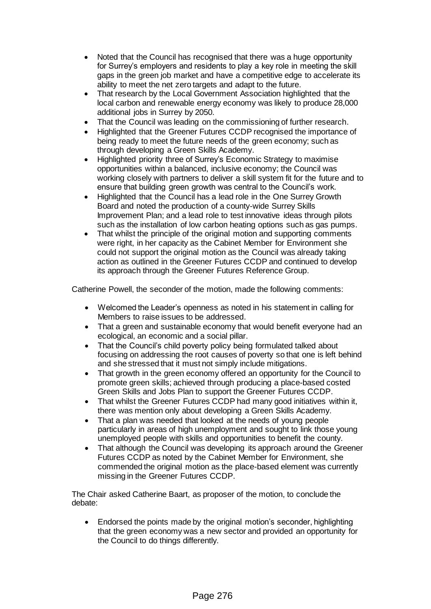- Noted that the Council has recognised that there was a huge opportunity for Surrey's employers and residents to play a key role in meeting the skill gaps in the green job market and have a competitive edge to accelerate its ability to meet the net zero targets and adapt to the future.
- That research by the Local Government Association highlighted that the local carbon and renewable energy economy was likely to produce 28,000 additional jobs in Surrey by 2050.
- That the Council was leading on the commissioning of further research.
- Highlighted that the Greener Futures CCDP recognised the importance of being ready to meet the future needs of the green economy; such as through developing a Green Skills Academy.
- Highlighted priority three of Surrey's Economic Strategy to maximise opportunities within a balanced, inclusive economy; the Council was working closely with partners to deliver a skill system fit for the future and to ensure that building green growth was central to the Council's work.
- Highlighted that the Council has a lead role in the One Surrey Growth Board and noted the production of a county-wide Surrey Skills Improvement Plan; and a lead role to test innovative ideas through pilots such as the installation of low carbon heating options such as gas pumps.
- That whilst the principle of the original motion and supporting comments were right, in her capacity as the Cabinet Member for Environment she could not support the original motion as the Council was already taking action as outlined in the Greener Futures CCDP and continued to develop its approach through the Greener Futures Reference Group.

Catherine Powell, the seconder of the motion, made the following comments:

- Welcomed the Leader's openness as noted in his statement in calling for Members to raise issues to be addressed.
- That a green and sustainable economy that would benefit everyone had an ecological, an economic and a social pillar.
- That the Council's child poverty policy being formulated talked about focusing on addressing the root causes of poverty so that one is left behind and she stressed that it must not simply include mitigations.
- That growth in the green economy offered an opportunity for the Council to promote green skills; achieved through producing a place-based costed Green Skills and Jobs Plan to support the Greener Futures CCDP.
- That whilst the Greener Futures CCDP had many good initiatives within it, there was mention only about developing a Green Skills Academy.
- That a plan was needed that looked at the needs of young people particularly in areas of high unemployment and sought to link those young unemployed people with skills and opportunities to benefit the county.
- That although the Council was developing its approach around the Greener Futures CCDP as noted by the Cabinet Member for Environment, she commended the original motion as the place-based element was currently missing in the Greener Futures CCDP.

The Chair asked Catherine Baart, as proposer of the motion, to conclude the debate:

 Endorsed the points made by the original motion's seconder, highlighting that the green economy was a new sector and provided an opportunity for the Council to do things differently.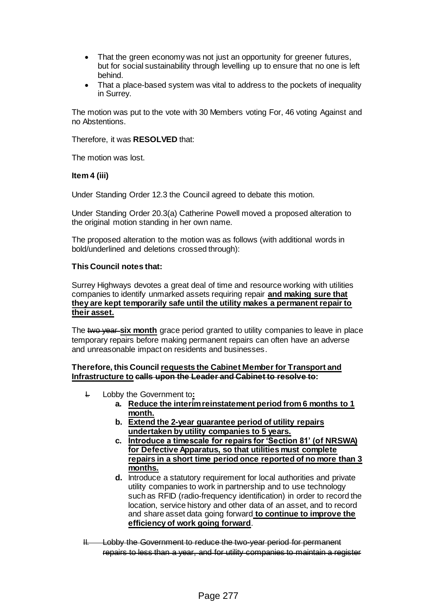- That the green economy was not just an opportunity for greener futures, but for social sustainability through levelling up to ensure that no one is left behind.
- That a place-based system was vital to address to the pockets of inequality in Surrey.

The motion was put to the vote with 30 Members voting For, 46 voting Against and no Abstentions.

Therefore, it was **RESOLVED** that:

The motion was lost.

#### **Item 4 (iii)**

Under Standing Order 12.3 the Council agreed to debate this motion.

Under Standing Order 20.3(a) Catherine Powell moved a proposed alteration to the original motion standing in her own name.

The proposed alteration to the motion was as follows (with additional words in bold/underlined and deletions crossed through):

#### **This Council notes that:**

Surrey Highways devotes a great deal of time and resource working with utilities companies to identify unmarked assets requiring repair **and making sure that they are kept temporarily safe until the utility makes a permanent repair to their asset.**

The two year **six month** grace period granted to utility companies to leave in place temporary repairs before making permanent repairs can often have an adverse and unreasonable impact on residents and businesses.

#### **Therefore, this Council requests the Cabinet Member for Transport and Infrastructure to calls upon the Leader and Cabinet to resolve to:**

- I. Lobby the Government to**:**
	- **a. Reduce the interim reinstatement period from 6 months to 1 month.**
	- **b. Extend the 2-year guarantee period of utility repairs undertaken by utility companies to 5 years.**
	- **c. Introduce a timescale for repairs for 'Section 81' (of NRSWA) for Defective Apparatus, so that utilities must complete repairs in a short time period once reported of no more than 3 months.**
	- **d.** Introduce a statutory requirement for local authorities and private utility companies to work in partnership and to use technology such as RFID (radio-frequency identification) in order to record the location, service history and other data of an asset, and to record and share asset data going forward **to continue to improve the efficiency of work going forward**.
- II. Lobby the Government to reduce the two-year period for permanent repairs to less than a year, and for utility companies to maintain a register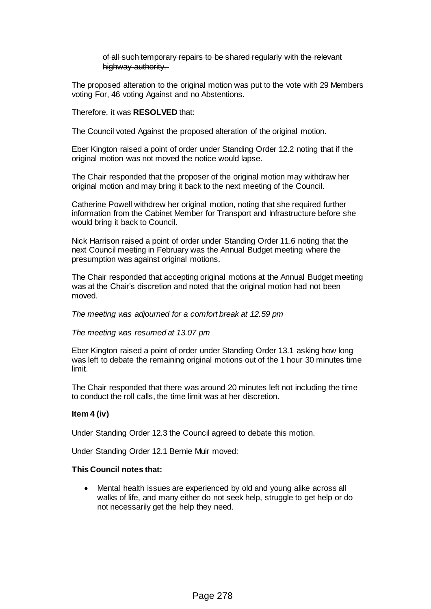of all such temporary repairs to be shared regularly with the relevant highway authority.

The proposed alteration to the original motion was put to the vote with 29 Members voting For, 46 voting Against and no Abstentions.

Therefore, it was **RESOLVED** that:

The Council voted Against the proposed alteration of the original motion.

Eber Kington raised a point of order under Standing Order 12.2 noting that if the original motion was not moved the notice would lapse.

The Chair responded that the proposer of the original motion may withdraw her original motion and may bring it back to the next meeting of the Council.

Catherine Powell withdrew her original motion, noting that she required further information from the Cabinet Member for Transport and Infrastructure before she would bring it back to Council.

Nick Harrison raised a point of order under Standing Order 11.6 noting that the next Council meeting in February was the Annual Budget meeting where the presumption was against original motions.

The Chair responded that accepting original motions at the Annual Budget meeting was at the Chair's discretion and noted that the original motion had not been moved.

*The meeting was adjourned for a comfort break at 12.59 pm*

*The meeting was resumed at 13.07 pm*

Eber Kington raised a point of order under Standing Order 13.1 asking how long was left to debate the remaining original motions out of the 1 hour 30 minutes time limit.

The Chair responded that there was around 20 minutes left not including the time to conduct the roll calls, the time limit was at her discretion.

## **Item 4 (iv)**

Under Standing Order 12.3 the Council agreed to debate this motion.

Under Standing Order 12.1 Bernie Muir moved:

#### **This Council notes that:**

 Mental health issues are experienced by old and young alike across all walks of life, and many either do not seek help, struggle to get help or do not necessarily get the help they need.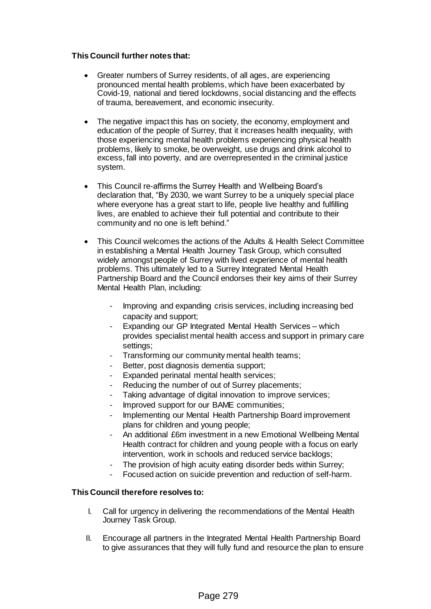## **This Council further notes that:**

- Greater numbers of Surrey residents, of all ages, are experiencing pronounced mental health problems, which have been exacerbated by Covid-19, national and tiered lockdowns, social distancing and the effects of trauma, bereavement, and economic insecurity.
- The negative impact this has on society, the economy, employment and education of the people of Surrey, that it increases health inequality, with those experiencing mental health problems experiencing physical health problems, likely to smoke, be overweight, use drugs and drink alcohol to excess, fall into poverty, and are overrepresented in the criminal justice system.
- This Council re-affirms the Surrey Health and Wellbeing Board's declaration that, "By 2030, we want Surrey to be a uniquely special place where everyone has a great start to life, people live healthy and fulfilling lives, are enabled to achieve their full potential and contribute to their community and no one is left behind."
- This Council welcomes the actions of the Adults & Health Select Committee in establishing a Mental Health Journey Task Group, which consulted widely amongst people of Surrey with lived experience of mental health problems. This ultimately led to a Surrey Integrated Mental Health Partnership Board and the Council endorses their key aims of their Surrey Mental Health Plan, including:
	- Improving and expanding crisis services, including increasing bed capacity and support;
	- Expanding our GP Integrated Mental Health Services which provides specialist mental health access and support in primary care settings;
	- Transforming our community mental health teams;
	- Better, post diagnosis dementia support;
	- Expanded perinatal mental health services;
	- Reducing the number of out of Surrey placements;
	- Taking advantage of digital innovation to improve services;
	- Improved support for our BAME communities;
	- Implementing our Mental Health Partnership Board improvement plans for children and young people;
	- An additional £6m investment in a new Emotional Wellbeing Mental Health contract for children and young people with a focus on early intervention, work in schools and reduced service backlogs;
	- The provision of high acuity eating disorder beds within Surrey;
	- Focused action on suicide prevention and reduction of self-harm.

## **This Council therefore resolves to:**

- I. Call for urgency in delivering the recommendations of the Mental Health Journey Task Group.
- II. Encourage all partners in the Integrated Mental Health Partnership Board to give assurances that they will fully fund and resource the plan to ensure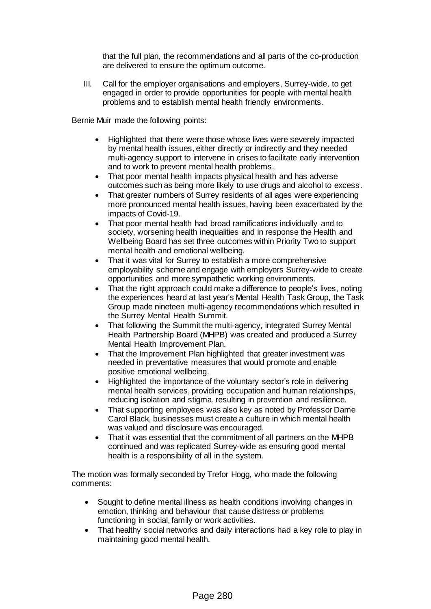that the full plan, the recommendations and all parts of the co-production are delivered to ensure the optimum outcome.

III. Call for the employer organisations and employers, Surrey-wide, to get engaged in order to provide opportunities for people with mental health problems and to establish mental health friendly environments.

Bernie Muir made the following points:

- Highlighted that there were those whose lives were severely impacted by mental health issues, either directly or indirectly and they needed multi-agency support to intervene in crises to facilitate early intervention and to work to prevent mental health problems.
- That poor mental health impacts physical health and has adverse outcomes such as being more likely to use drugs and alcohol to excess.
- That greater numbers of Surrey residents of all ages were experiencing more pronounced mental health issues, having been exacerbated by the impacts of Covid-19.
- That poor mental health had broad ramifications individually and to society, worsening health inequalities and in response the Health and Wellbeing Board has set three outcomes within Priority Two to support mental health and emotional wellbeing.
- That it was vital for Surrey to establish a more comprehensive employability scheme and engage with employers Surrey-wide to create opportunities and more sympathetic working environments.
- That the right approach could make a difference to people's lives, noting the experiences heard at last year's Mental Health Task Group, the Task Group made nineteen multi-agency recommendations which resulted in the Surrey Mental Health Summit.
- That following the Summit the multi-agency, integrated Surrey Mental Health Partnership Board (MHPB) was created and produced a Surrey Mental Health Improvement Plan.
- That the Improvement Plan highlighted that greater investment was needed in preventative measures that would promote and enable positive emotional wellbeing.
- Highlighted the importance of the voluntary sector's role in delivering mental health services, providing occupation and human relationships, reducing isolation and stigma, resulting in prevention and resilience.
- That supporting employees was also key as noted by Professor Dame Carol Black, businesses must create a culture in which mental health was valued and disclosure was encouraged.
- That it was essential that the commitment of all partners on the MHPB continued and was replicated Surrey-wide as ensuring good mental health is a responsibility of all in the system.

The motion was formally seconded by Trefor Hogg, who made the following comments:

- Sought to define mental illness as health conditions involving changes in emotion, thinking and behaviour that cause distress or problems functioning in social, family or work activities.
- That healthy social networks and daily interactions had a key role to play in maintaining good mental health.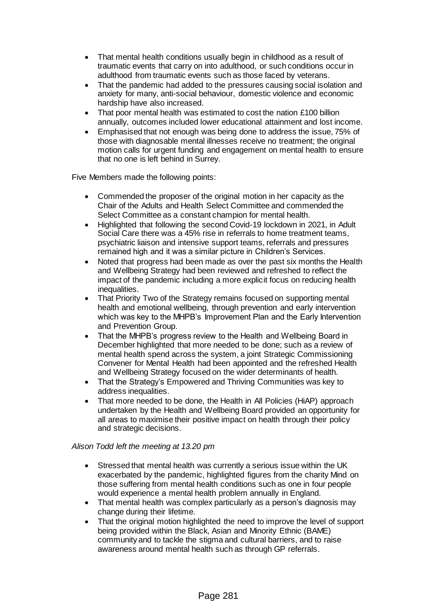- That mental health conditions usually begin in childhood as a result of traumatic events that carry on into adulthood, or such conditions occur in adulthood from traumatic events such as those faced by veterans.
- That the pandemic had added to the pressures causing social isolation and anxiety for many, anti-social behaviour, domestic violence and economic hardship have also increased.
- That poor mental health was estimated to cost the nation £100 billion annually, outcomes included lower educational attainment and lost income.
- Emphasised that not enough was being done to address the issue, 75% of those with diagnosable mental illnesses receive no treatment; the original motion calls for urgent funding and engagement on mental health to ensure that no one is left behind in Surrey.

Five Members made the following points:

- Commended the proposer of the original motion in her capacity as the Chair of the Adults and Health Select Committee and commended the Select Committee as a constant champion for mental health.
- Highlighted that following the second Covid-19 lockdown in 2021, in Adult Social Care there was a 45% rise in referrals to home treatment teams, psychiatric liaison and intensive support teams, referrals and pressures remained high and it was a similar picture in Children's Services.
- Noted that progress had been made as over the past six months the Health and Wellbeing Strategy had been reviewed and refreshed to reflect the impact of the pandemic including a more explicit focus on reducing health inequalities.
- That Priority Two of the Strategy remains focused on supporting mental health and emotional wellbeing, through prevention and early intervention which was key to the MHPB's Improvement Plan and the Early Intervention and Prevention Group.
- That the MHPB's progress review to the Health and Wellbeing Board in December highlighted that more needed to be done; such as a review of mental health spend across the system, a joint Strategic Commissioning Convener for Mental Health had been appointed and the refreshed Health and Wellbeing Strategy focused on the wider determinants of health.
- That the Strategy's Empowered and Thriving Communities was key to address inequalities.
- That more needed to be done, the Health in All Policies (HiAP) approach undertaken by the Health and Wellbeing Board provided an opportunity for all areas to maximise their positive impact on health through their policy and strategic decisions.

# *Alison Todd left the meeting at 13.20 pm*

- Stressed that mental health was currently a serious issue within the UK exacerbated by the pandemic, highlighted figures from the charity Mind on those suffering from mental health conditions such as one in four people would experience a mental health problem annually in England.
- That mental health was complex particularly as a person's diagnosis may change during their lifetime.
- That the original motion highlighted the need to improve the level of support being provided within the Black, Asian and Minority Ethnic (BAME) community and to tackle the stigma and cultural barriers, and to raise awareness around mental health such as through GP referrals.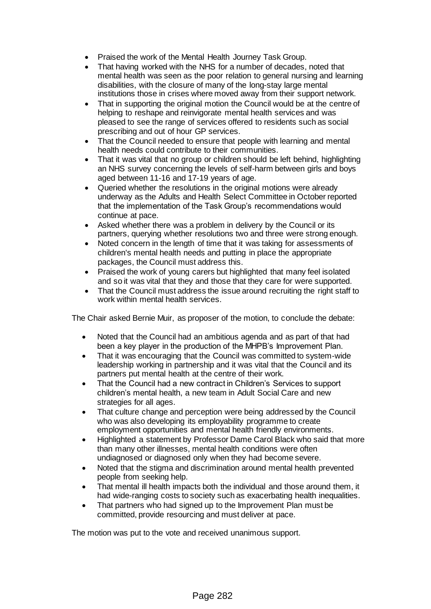- Praised the work of the Mental Health Journey Task Group.
- That having worked with the NHS for a number of decades, noted that mental health was seen as the poor relation to general nursing and learning disabilities, with the closure of many of the long-stay large mental institutions those in crises where moved away from their support network.
- That in supporting the original motion the Council would be at the centre of helping to reshape and reinvigorate mental health services and was pleased to see the range of services offered to residents such as social prescribing and out of hour GP services.
- That the Council needed to ensure that people with learning and mental health needs could contribute to their communities.
- That it was vital that no group or children should be left behind, highlighting an NHS survey concerning the levels of self-harm between girls and boys aged between 11-16 and 17-19 years of age.
- Queried whether the resolutions in the original motions were already underway as the Adults and Health Select Committee in October reported that the implementation of the Task Group's recommendations would continue at pace.
- Asked whether there was a problem in delivery by the Council or its partners, querying whether resolutions two and three were strong enough.
- Noted concern in the length of time that it was taking for assessments of children's mental health needs and putting in place the appropriate packages, the Council must address this.
- Praised the work of young carers but highlighted that many feel isolated and so it was vital that they and those that they care for were supported.
- That the Council must address the issue around recruiting the right staff to work within mental health services.

The Chair asked Bernie Muir, as proposer of the motion, to conclude the debate:

- Noted that the Council had an ambitious agenda and as part of that had been a key player in the production of the MHPB's Improvement Plan.
- That it was encouraging that the Council was committed to system-wide leadership working in partnership and it was vital that the Council and its partners put mental health at the centre of their work.
- That the Council had a new contract in Children's Services to support children's mental health, a new team in Adult Social Care and new strategies for all ages.
- That culture change and perception were being addressed by the Council who was also developing its employability programme to create employment opportunities and mental health friendly environments.
- Highlighted a statement by Professor Dame Carol Black who said that more than many other illnesses, mental health conditions were often undiagnosed or diagnosed only when they had become severe.
- Noted that the stigma and discrimination around mental health prevented people from seeking help.
- That mental ill health impacts both the individual and those around them, it had wide-ranging costs to society such as exacerbating health inequalities.
- That partners who had signed up to the Improvement Plan must be committed, provide resourcing and must deliver at pace.

The motion was put to the vote and received unanimous support.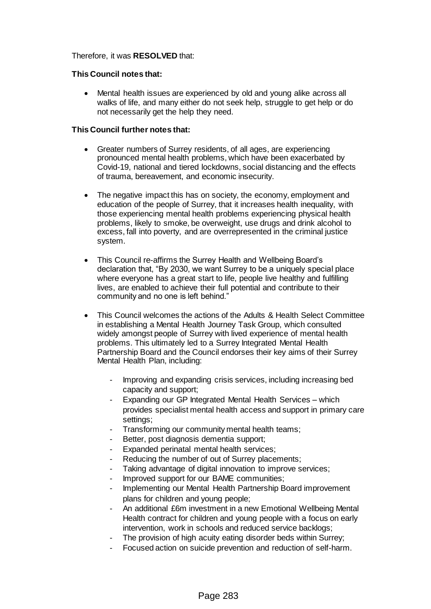## Therefore, it was **RESOLVED** that:

## **This Council notes that:**

 Mental health issues are experienced by old and young alike across all walks of life, and many either do not seek help, struggle to get help or do not necessarily get the help they need.

## **This Council further notes that:**

- Greater numbers of Surrey residents, of all ages, are experiencing pronounced mental health problems, which have been exacerbated by Covid-19, national and tiered lockdowns, social distancing and the effects of trauma, bereavement, and economic insecurity.
- The negative impact this has on society, the economy, employment and education of the people of Surrey, that it increases health inequality, with those experiencing mental health problems experiencing physical health problems, likely to smoke, be overweight, use drugs and drink alcohol to excess, fall into poverty, and are overrepresented in the criminal justice system.
- This Council re-affirms the Surrey Health and Wellbeing Board's declaration that, "By 2030, we want Surrey to be a uniquely special place where everyone has a great start to life, people live healthy and fulfilling lives, are enabled to achieve their full potential and contribute to their community and no one is left behind."
- This Council welcomes the actions of the Adults & Health Select Committee in establishing a Mental Health Journey Task Group, which consulted widely amongst people of Surrey with lived experience of mental health problems. This ultimately led to a Surrey Integrated Mental Health Partnership Board and the Council endorses their key aims of their Surrey Mental Health Plan, including:
	- Improving and expanding crisis services, including increasing bed capacity and support;
	- Expanding our GP Integrated Mental Health Services which provides specialist mental health access and support in primary care settings;
	- Transforming our community mental health teams;
	- Better, post diagnosis dementia support;
	- Expanded perinatal mental health services;
	- Reducing the number of out of Surrey placements;
	- Taking advantage of digital innovation to improve services;
	- Improved support for our BAME communities;
	- Implementing our Mental Health Partnership Board improvement plans for children and young people;
	- An additional £6m investment in a new Emotional Wellbeing Mental Health contract for children and young people with a focus on early intervention, work in schools and reduced service backlogs;
	- The provision of high acuity eating disorder beds within Surrey;
	- Focused action on suicide prevention and reduction of self-harm.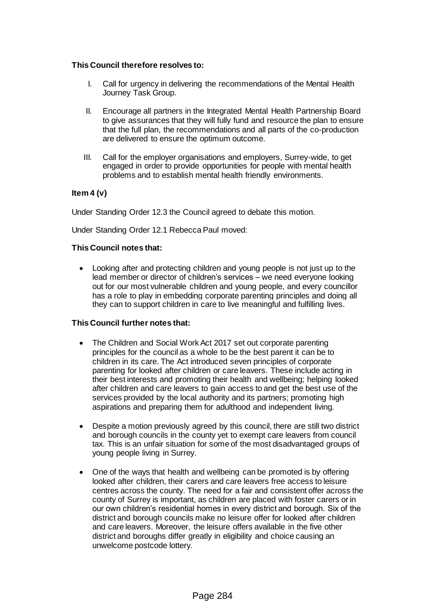## **This Council therefore resolves to:**

- I. Call for urgency in delivering the recommendations of the Mental Health Journey Task Group.
- II. Encourage all partners in the Integrated Mental Health Partnership Board to give assurances that they will fully fund and resource the plan to ensure that the full plan, the recommendations and all parts of the co-production are delivered to ensure the optimum outcome.
- III. Call for the employer organisations and employers, Surrey-wide, to get engaged in order to provide opportunities for people with mental health problems and to establish mental health friendly environments.

# **Item 4 (v)**

Under Standing Order 12.3 the Council agreed to debate this motion.

Under Standing Order 12.1 Rebecca Paul moved:

## **This Council notes that:**

 Looking after and protecting children and young people is not just up to the lead member or director of children's services – we need everyone looking out for our most vulnerable children and young people, and every councillor has a role to play in embedding corporate parenting principles and doing all they can to support children in care to live meaningful and fulfilling lives.

## **This Council further notes that:**

- The Children and Social Work Act 2017 set out corporate parenting principles for the council as a whole to be the best parent it can be to children in its care. The Act introduced seven principles of corporate parenting for looked after children or care leavers. These include acting in their best interests and promoting their health and wellbeing; helping looked after children and care leavers to gain access to and get the best use of the services provided by the local authority and its partners; promoting high aspirations and preparing them for adulthood and independent living.
- Despite a motion previously agreed by this council, there are still two district and borough councils in the county yet to exempt care leavers from council tax. This is an unfair situation for some of the most disadvantaged groups of young people living in Surrey.
- One of the ways that health and wellbeing can be promoted is by offering looked after children, their carers and care leavers free access to leisure centres across the county. The need for a fair and consistent offer across the county of Surrey is important, as children are placed with foster carers or in our own children's residential homes in every district and borough. Six of the district and borough councils make no leisure offer for looked after children and care leavers. Moreover, the leisure offers available in the five other district and boroughs differ greatly in eligibility and choice causing an unwelcome postcode lottery.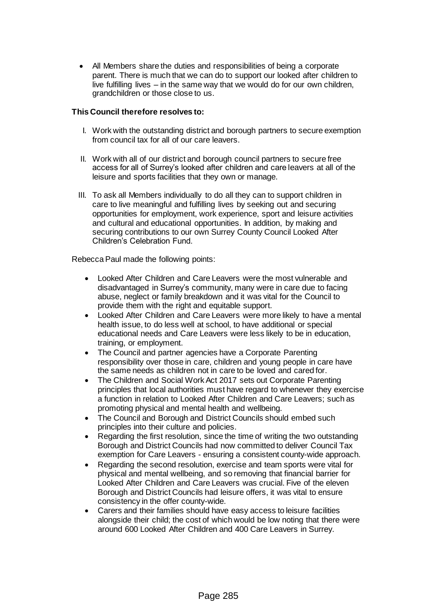All Members share the duties and responsibilities of being a corporate parent. There is much that we can do to support our looked after children to live fulfilling lives – in the same way that we would do for our own children, grandchildren or those close to us.

## **This Council therefore resolves to:**

- I. Work with the outstanding district and borough partners to secure exemption from council tax for all of our care leavers.
- II. Work with all of our district and borough council partners to secure free access for all of Surrey's looked after children and care leavers at all of the leisure and sports facilities that they own or manage.
- III. To ask all Members individually to do all they can to support children in care to live meaningful and fulfilling lives by seeking out and securing opportunities for employment, work experience, sport and leisure activities and cultural and educational opportunities. In addition, by making and securing contributions to our own Surrey County Council Looked After Children's Celebration Fund.

Rebecca Paul made the following points:

- Looked After Children and Care Leavers were the most vulnerable and disadvantaged in Surrey's community, many were in care due to facing abuse, neglect or family breakdown and it was vital for the Council to provide them with the right and equitable support.
- Looked After Children and Care Leavers were more likely to have a mental health issue, to do less well at school, to have additional or special educational needs and Care Leavers were less likely to be in education, training, or employment.
- The Council and partner agencies have a Corporate Parenting responsibility over those in care, children and young people in care have the same needs as children not in care to be loved and cared for.
- The Children and Social Work Act 2017 sets out Corporate Parenting principles that local authorities must have regard to whenever they exercise a function in relation to Looked After Children and Care Leavers; such as promoting physical and mental health and wellbeing.
- The Council and Borough and District Councils should embed such principles into their culture and policies.
- Regarding the first resolution, since the time of writing the two outstanding Borough and District Councils had now committed to deliver Council Tax exemption for Care Leavers - ensuring a consistent county-wide approach.
- Regarding the second resolution, exercise and team sports were vital for physical and mental wellbeing, and so removing that financial barrier for Looked After Children and Care Leavers was crucial. Five of the eleven Borough and District Councils had leisure offers, it was vital to ensure consistency in the offer county-wide.
- Carers and their families should have easy access to leisure facilities alongside their child; the cost of which would be low noting that there were around 600 Looked After Children and 400 Care Leavers in Surrey.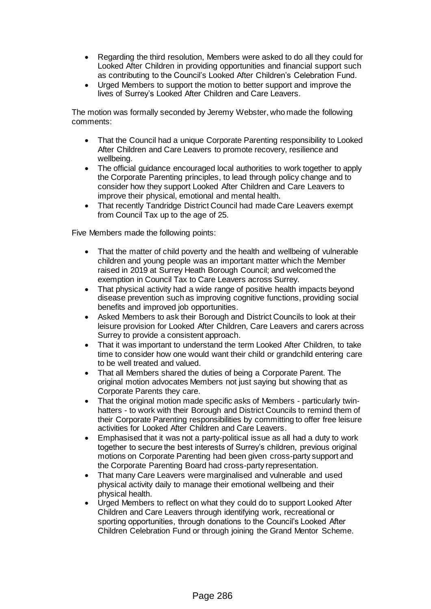- Regarding the third resolution, Members were asked to do all they could for Looked After Children in providing opportunities and financial support such as contributing to the Council's Looked After Children's Celebration Fund.
- Urged Members to support the motion to better support and improve the lives of Surrey's Looked After Children and Care Leavers.

The motion was formally seconded by Jeremy Webster, who made the following comments:

- That the Council had a unique Corporate Parenting responsibility to Looked After Children and Care Leavers to promote recovery, resilience and wellbeing.
- The official guidance encouraged local authorities to work together to apply the Corporate Parenting principles, to lead through policy change and to consider how they support Looked After Children and Care Leavers to improve their physical, emotional and mental health.
- That recently Tandridge District Council had made Care Leavers exempt from Council Tax up to the age of 25.

Five Members made the following points:

- That the matter of child poverty and the health and wellbeing of vulnerable children and young people was an important matter which the Member raised in 2019 at Surrey Heath Borough Council; and welcomed the exemption in Council Tax to Care Leavers across Surrey.
- That physical activity had a wide range of positive health impacts beyond disease prevention such as improving cognitive functions, providing social benefits and improved job opportunities.
- Asked Members to ask their Borough and District Councils to look at their leisure provision for Looked After Children, Care Leavers and carers across Surrey to provide a consistent approach.
- That it was important to understand the term Looked After Children, to take time to consider how one would want their child or grandchild entering care to be well treated and valued.
- That all Members shared the duties of being a Corporate Parent. The original motion advocates Members not just saying but showing that as Corporate Parents they care.
- That the original motion made specific asks of Members particularly twinhatters - to work with their Borough and District Councils to remind them of their Corporate Parenting responsibilities by committing to offer free leisure activities for Looked After Children and Care Leavers.
- Emphasised that it was not a party-political issue as all had a duty to work together to secure the best interests of Surrey's children, previous original motions on Corporate Parenting had been given cross-party support and the Corporate Parenting Board had cross-party representation.
- That many Care Leavers were marginalised and vulnerable and used physical activity daily to manage their emotional wellbeing and their physical health.
- Urged Members to reflect on what they could do to support Looked After Children and Care Leavers through identifying work, recreational or sporting opportunities, through donations to the Council's Looked After Children Celebration Fund or through joining the Grand Mentor Scheme.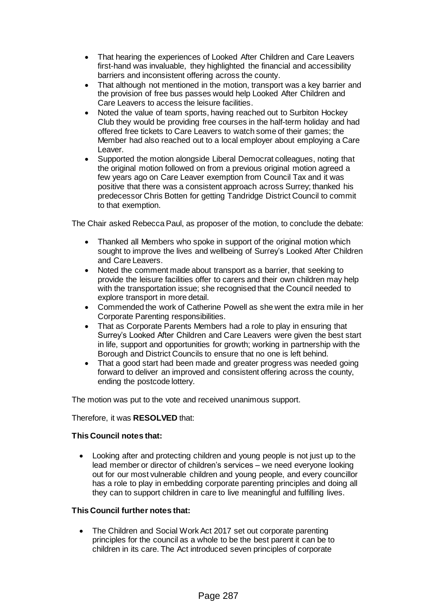- That hearing the experiences of Looked After Children and Care Leavers first-hand was invaluable, they highlighted the financial and accessibility barriers and inconsistent offering across the county.
- That although not mentioned in the motion, transport was a key barrier and the provision of free bus passes would help Looked After Children and Care Leavers to access the leisure facilities.
- Noted the value of team sports, having reached out to Surbiton Hockey Club they would be providing free courses in the half-term holiday and had offered free tickets to Care Leavers to watch some of their games; the Member had also reached out to a local employer about employing a Care Leaver.
- Supported the motion alongside Liberal Democrat colleagues, noting that the original motion followed on from a previous original motion agreed a few years ago on Care Leaver exemption from Council Tax and it was positive that there was a consistent approach across Surrey; thanked his predecessor Chris Botten for getting Tandridge District Council to commit to that exemption.

The Chair asked Rebecca Paul, as proposer of the motion, to conclude the debate:

- Thanked all Members who spoke in support of the original motion which sought to improve the lives and wellbeing of Surrey's Looked After Children and Care Leavers.
- Noted the comment made about transport as a barrier, that seeking to provide the leisure facilities offer to carers and their own children may help with the transportation issue; she recognised that the Council needed to explore transport in more detail.
- Commended the work of Catherine Powell as she went the extra mile in her Corporate Parenting responsibilities.
- That as Corporate Parents Members had a role to play in ensuring that Surrey's Looked After Children and Care Leavers were given the best start in life, support and opportunities for growth; working in partnership with the Borough and District Councils to ensure that no one is left behind.
- That a good start had been made and greater progress was needed going forward to deliver an improved and consistent offering across the county, ending the postcode lottery.

The motion was put to the vote and received unanimous support.

## Therefore, it was **RESOLVED** that:

## **This Council notes that:**

 Looking after and protecting children and young people is not just up to the lead member or director of children's services – we need everyone looking out for our most vulnerable children and young people, and every councillor has a role to play in embedding corporate parenting principles and doing all they can to support children in care to live meaningful and fulfilling lives.

## **This Council further notes that:**

 The Children and Social Work Act 2017 set out corporate parenting principles for the council as a whole to be the best parent it can be to children in its care. The Act introduced seven principles of corporate